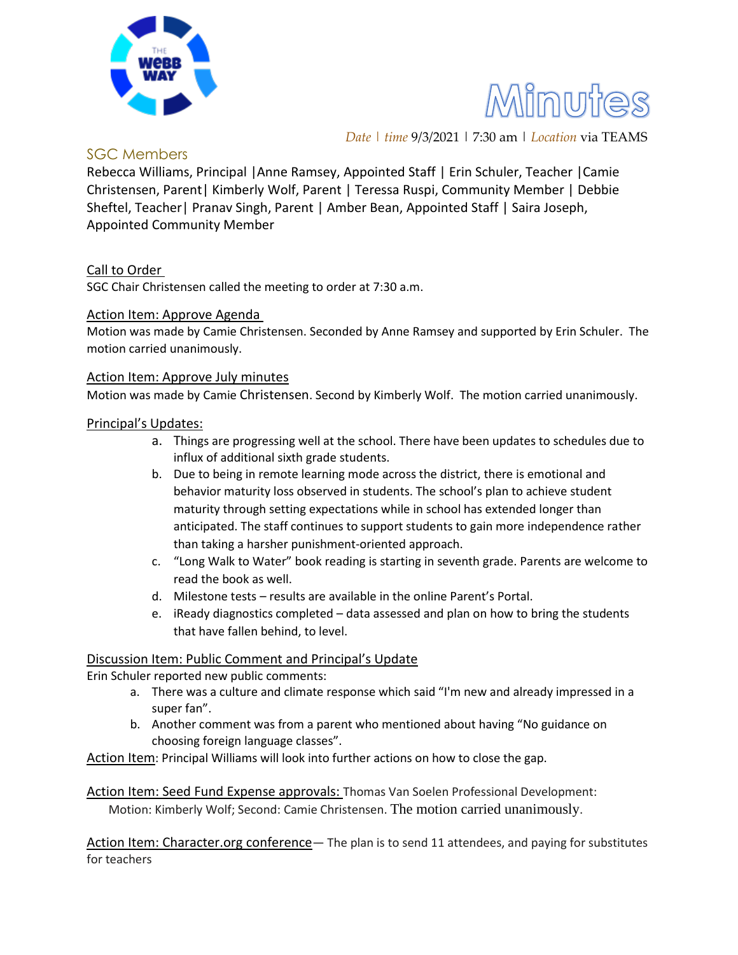



*Date | time* 9/3/2021 | 7:30 am | *Location* via TEAMS

# SGC Members

Rebecca Williams, Principal |Anne Ramsey, Appointed Staff | Erin Schuler, Teacher |Camie Christensen, Parent| Kimberly Wolf, Parent | Teressa Ruspi, Community Member | Debbie Sheftel, Teacher| Pranav Singh, Parent | Amber Bean, Appointed Staff | Saira Joseph, Appointed Community Member

## Call to Order

SGC Chair Christensen called the meeting to order at 7:30 a.m.

## Action Item: Approve Agenda

Motion was made by Camie Christensen. Seconded by Anne Ramsey and supported by Erin Schuler. The motion carried unanimously.

#### Action Item: Approve July minutes

Motion was made by Camie Christensen. Second by Kimberly Wolf. The motion carried unanimously.

## Principal's Updates:

- a. Things are progressing well at the school. There have been updates to schedules due to influx of additional sixth grade students.
- b. Due to being in remote learning mode across the district, there is emotional and behavior maturity loss observed in students. The school's plan to achieve student maturity through setting expectations while in school has extended longer than anticipated. The staff continues to support students to gain more independence rather than taking a harsher punishment-oriented approach.
- c. "Long Walk to Water" book reading is starting in seventh grade. Parents are welcome to read the book as well.
- d. Milestone tests results are available in the online Parent's Portal.
- e. iReady diagnostics completed data assessed and plan on how to bring the students that have fallen behind, to level.

#### Discussion Item: Public Comment and Principal's Update

Erin Schuler reported new public comments:

- a. There was a culture and climate response which said "I'm new and already impressed in a super fan".
- b. Another comment was from a parent who mentioned about having "No guidance on choosing foreign language classes".

Action Item: Principal Williams will look into further actions on how to close the gap.

Action Item: Seed Fund Expense approvals: Thomas Van Soelen Professional Development: Motion: Kimberly Wolf; Second: Camie Christensen. The motion carried unanimously.

Action Item: Character.org conference— The plan is to send 11 attendees, and paying for substitutes for teachers